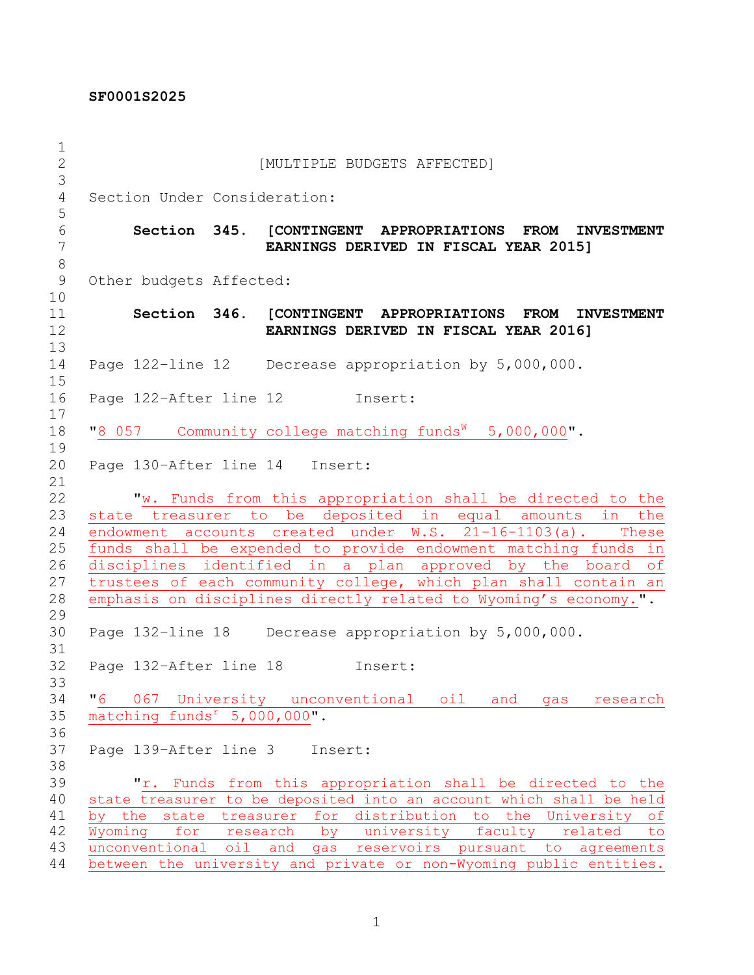## **SF0001S2025**

 **Example 2** [MULTIPLE BUDGETS AFFECTED] Section Under Consideration: **Section 345. [CONTINGENT APPROPRIATIONS FROM INVESTMENT EARNINGS DERIVED IN FISCAL YEAR 2015]** Other budgets Affected: **Section 346. [CONTINGENT APPROPRIATIONS FROM INVESTMENT EARNINGS DERIVED IN FISCAL YEAR 2016]** Page 122–line 12 Decrease appropriation by 5,000,000. Page 122–After line 12 Insert:  $"8$  057 Community college matching funds<sup>W</sup> 5,000,000". Page 130–After line 14 Insert: "w. Funds from this appropriation shall be directed to the state treasurer to be deposited in equal amounts in the endowment accounts created under W.S. 21-16-1103(a). These funds shall be expended to provide endowment matching funds in disciplines identified in a plan approved by the board of trustees of each community college, which plan shall contain an emphasis on disciplines directly related to Wyoming's economy.". Page 132–line 18 Decrease appropriation by 5,000,000. Page 132–After line 18 Insert: "6 067 University unconventional oil and gas research 35 matching funds<sup> $r$ </sup>  $\overline{5,000,000}$ ". Page 139–After line 3 Insert: "r. Funds from this appropriation shall be directed to the state treasurer to be deposited into an account which shall be held by the state treasurer for distribution to the University of 42 Wyoming for research by university faculty related to unconventional oil and gas reservoirs pursuant to agreements between the university and private or non-Wyoming public entities.